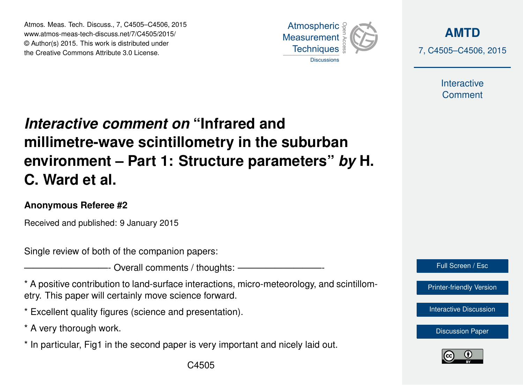Atmos. Meas. Tech. Discuss., 7, C4505–C4506, 2015 www.atmos-meas-tech-discuss.net/7/C4505/2015/ © Author(s) 2015. This work is distributed under the Creative Commons Attribute 3.0 License.



**[AMTD](http://www.atmos-meas-tech-discuss.net)** 7, C4505–C4506, 2015

> Interactive **Comment**

## *Interactive comment on* **"Infrared and millimetre-wave scintillometry in the suburban environment – Part 1: Structure parameters"** *by* **H. C. Ward et al.**

## **Anonymous Referee #2**

Received and published: 9 January 2015

Single review of both of the companion papers:

- Overall comments / thoughts: -

\* A positive contribution to land-surface interactions, micro-meteorology, and scintillometry. This paper will certainly move science forward.

\* Excellent quality figures (science and presentation).

\* A very thorough work.

\* In particular, Fig1 in the second paper is very important and nicely laid out.



[Printer-friendly Version](http://www.atmos-meas-tech-discuss.net/7/C4505/2015/amtd-7-C4505-2015-print.pdf)

[Interactive Discussion](http://www.atmos-meas-tech-discuss.net/7/11169/2014/amtd-7-11169-2014-discussion.html)

[Discussion Paper](http://www.atmos-meas-tech-discuss.net/7/11169/2014/amtd-7-11169-2014.pdf)